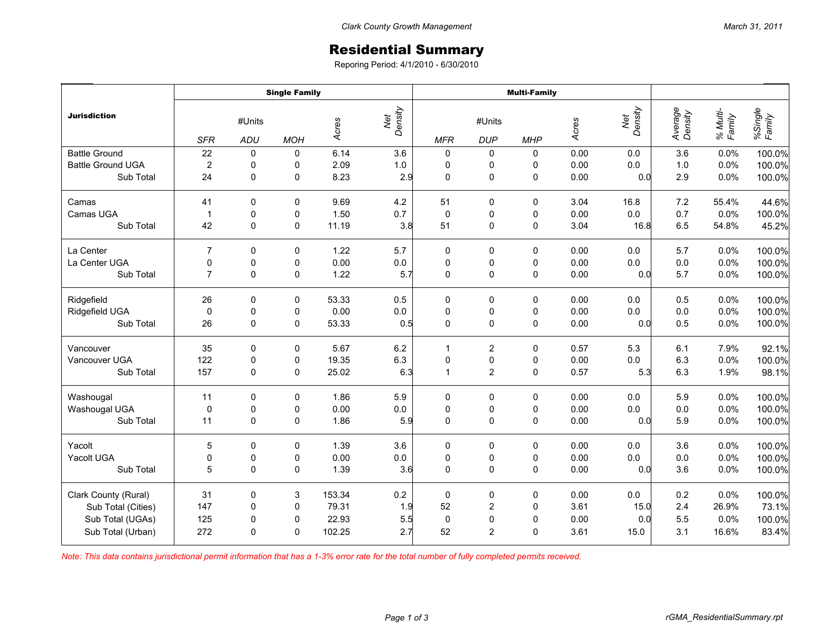## Residential Summary

Reporing Period: 4/1/2010 - 6/30/2010

|                          | <b>Single Family</b> |               |             |        |                | <b>Multi-Family</b> |                      |             |       |                |                    |                    |                   |
|--------------------------|----------------------|---------------|-------------|--------|----------------|---------------------|----------------------|-------------|-------|----------------|--------------------|--------------------|-------------------|
| <b>Jurisdiction</b>      | <b>SFR</b>           | #Units<br>ADU | <b>MOH</b>  | Acres  | Net<br>Density | <b>MFR</b>          | #Units<br><b>DUP</b> | <b>MHP</b>  | Acres | Net<br>Density | Average<br>Density | % Multi-<br>Family | %Single<br>Family |
| <b>Battle Ground</b>     | 22                   | $\pmb{0}$     | 0           | 6.14   | 3.6            | $\pmb{0}$           | 0                    | 0           | 0.00  | 0.0            | 3.6                | 0.0%               | 100.0%            |
| <b>Battle Ground UGA</b> | $\overline{2}$       | 0             | 0           | 2.09   | $1.0\,$        | $\pmb{0}$           | 0                    | 0           | 0.00  | 0.0            | 1.0                | 0.0%               | 100.0%            |
| Sub Total                | 24                   | $\mathbf 0$   | 0           | 8.23   | 2.9            | $\mathbf 0$         | 0                    | 0           | 0.00  | 0.0            | 2.9                | 0.0%               | 100.0%            |
| Camas                    | 41                   | $\Omega$      | 0           | 9.69   | 4.2            | 51                  | 0                    | 0           | 3.04  | 16.8           | 7.2                | 55.4%              | 44.6%             |
| Camas UGA                | $\mathbf{1}$         | 0             | 0           | 1.50   | 0.7            | $\mathbf 0$         | 0                    | 0           | 0.00  | 0.0            | 0.7                | 0.0%               | 100.0%            |
| Sub Total                | 42                   | 0             | $\pmb{0}$   | 11.19  | 3.8            | 51                  | 0                    | 0           | 3.04  | 16.8           | 6.5                | 54.8%              | 45.2%             |
| La Center                | $\overline{7}$       | $\mathbf 0$   | $\mathbf 0$ | 1.22   | 5.7            | 0                   | 0                    | 0           | 0.00  | 0.0            | 5.7                | 0.0%               | 100.0%            |
| La Center UGA            | 0                    | 0             | 0           | 0.00   | $0.0\,$        | $\pmb{0}$           | 0                    | 0           | 0.00  | 0.0            | 0.0                | 0.0%               | 100.0%            |
| Sub Total                | $\overline{7}$       | $\Omega$      | 0           | 1.22   | 5.7            | $\mathbf 0$         | $\mathsf 0$          | $\pmb{0}$   | 0.00  | 0.0            | 5.7                | 0.0%               | 100.0%            |
| Ridgefield               | 26                   | 0             | 0           | 53.33  | 0.5            | $\pmb{0}$           | 0                    | 0           | 0.00  | 0.0            | 0.5                | 0.0%               | 100.0%            |
| Ridgefield UGA           | $\mathbf 0$          | $\pmb{0}$     | 0           | 0.00   | $0.0\,$        | $\pmb{0}$           | $\pmb{0}$            | $\pmb{0}$   | 0.00  | 0.0            | 0.0                | 0.0%               | 100.0%            |
| Sub Total                | 26                   | $\mathbf 0$   | $\mathbf 0$ | 53.33  | 0.5            | $\mathbf 0$         | $\pmb{0}$            | $\pmb{0}$   | 0.00  | 0.0            | 0.5                | 0.0%               | 100.0%            |
| Vancouver                | 35                   | 0             | 0           | 5.67   | 6.2            | $\mathbf{1}$        | $\overline{2}$       | 0           | 0.57  | 5.3            | 6.1                | 7.9%               | 92.1%             |
| Vancouver UGA            | 122                  | $\pmb{0}$     | 0           | 19.35  | 6.3            | $\mathbf 0$         | $\mathsf 0$          | $\pmb{0}$   | 0.00  | $0.0\,$        | 6.3                | 0.0%               | 100.0%            |
| Sub Total                | 157                  | $\mathbf 0$   | $\mathbf 0$ | 25.02  | 6.3            | $\mathbf{1}$        | $\overline{2}$       | $\mathsf 0$ | 0.57  | 5.3            | 6.3                | 1.9%               | 98.1%             |
| Washougal                | 11                   | 0             | 0           | 1.86   | 5.9            | 0                   | 0                    | 0           | 0.00  | 0.0            | 5.9                | 0.0%               | 100.0%            |
| Washougal UGA            | 0                    | 0             | 0           | 0.00   | $0.0\,$        | $\pmb{0}$           | $\pmb{0}$            | $\pmb{0}$   | 0.00  | 0.0            | 0.0                | 0.0%               | 100.0%            |
| Sub Total                | 11                   | $\mathbf 0$   | $\mathbf 0$ | 1.86   | 5.9            | $\mathbf 0$         | $\pmb{0}$            | $\pmb{0}$   | 0.00  | 0.0            | 5.9                | 0.0%               | 100.0%            |
| Yacolt                   | 5                    | 0             | 0           | 1.39   | 3.6            | $\pmb{0}$           | 0                    | $\pmb{0}$   | 0.00  | 0.0            | 3.6                | 0.0%               | 100.0%            |
| Yacolt UGA               | $\pmb{0}$            | $\pmb{0}$     | $\pmb{0}$   | 0.00   | $0.0\,$        | $\pmb{0}$           | $\pmb{0}$            | $\pmb{0}$   | 0.00  | 0.0            | $0.0\,$            | 0.0%               | 100.0%            |
| Sub Total                | 5                    | $\Omega$      | $\mathbf 0$ | 1.39   | 3.6            | $\mathbf 0$         | $\pmb{0}$            | $\pmb{0}$   | 0.00  | 0.0            | 3.6                | 0.0%               | 100.0%            |
| Clark County (Rural)     | 31                   | 0             | 3           | 153.34 | 0.2            | $\pmb{0}$           | 0                    | 0           | 0.00  | 0.0            | 0.2                | 0.0%               | 100.0%            |
| Sub Total (Cities)       | 147                  | 0             | 0           | 79.31  | 1.9            | 52                  | $\overline{c}$       | 0           | 3.61  | 15.0           | 2.4                | 26.9%              | 73.1%             |
| Sub Total (UGAs)         | 125                  | 0             | 0           | 22.93  | 5.5            | $\mathbf 0$         | $\mathbf 0$          | $\pmb{0}$   | 0.00  | 0.0            | 5.5                | 0.0%               | 100.0%            |
| Sub Total (Urban)        | 272                  | $\Omega$      | 0           | 102.25 | 2.7            | 52                  | $\overline{2}$       | $\mathbf 0$ | 3.61  | 15.0           | 3.1                | 16.6%              | 83.4%             |

*Note: This data contains jurisdictional permit information that has a 1-3% error rate for the total number of fully completed permits received.*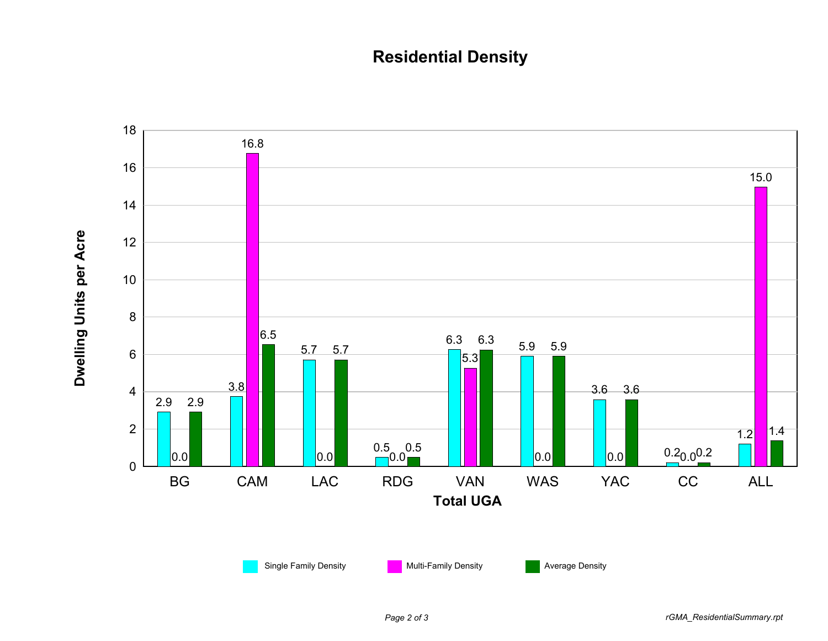## **Residential Density**



*Page 2 of 3 rGMA\_ResidentialSummary.rpt*